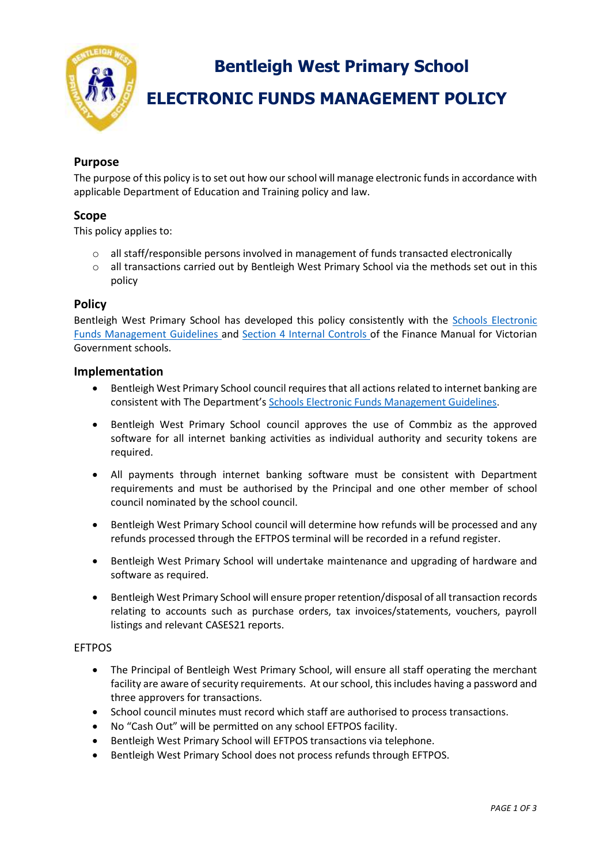

**Bentleigh West Primary School**

# **ELECTRONIC FUNDS MANAGEMENT POLICY**

# **Purpose**

The purpose of this policy is to set out how our school will manage electronic funds in accordance with applicable Department of Education and Training policy and law.

# **Scope**

This policy applies to:

- $\circ$  all staff/responsible persons involved in management of funds transacted electronically
- $\circ$  all transactions carried out by Bentleigh West Primary School via the methods set out in this policy

# **Policy**

Bentleigh West Primary School has developed this policy consistently with the [Schools Electronic](http://www.education.vic.gov.au/Documents/school/principals/finance/Fin%20Schools%20Electronic%20Funds%20Management%20Guidelines%20V1_2.pdf)  [Funds Management Guidelines](http://www.education.vic.gov.au/Documents/school/principals/finance/Fin%20Schools%20Electronic%20Funds%20Management%20Guidelines%20V1_2.pdf) and [Section 4 Internal Controls](https://www2.education.vic.gov.au/pal/internal-controls-finance-manual-section-4/policy) of the Finance Manual for Victorian Government schools.

## **Implementation**

- Bentleigh West Primary School council requires that all actions related to internet banking are consistent with The Department's [Schools Electronic Funds Management Guidelines](http://www.education.vic.gov.au/Documents/school/principals/finance/Fin%20Schools%20Electronic%20Funds%20Management%20Guidelines%20V1_2.pdf).
- Bentleigh West Primary School council approves the use of Commbiz as the approved software for all internet banking activities as individual authority and security tokens are required.
- All payments through internet banking software must be consistent with Department requirements and must be authorised by the Principal and one other member of school council nominated by the school council.
- Bentleigh West Primary School council will determine how refunds will be processed and any refunds processed through the EFTPOS terminal will be recorded in a refund register.
- Bentleigh West Primary School will undertake maintenance and upgrading of hardware and software as required.
- Bentleigh West Primary School will ensure proper retention/disposal of all transaction records relating to accounts such as purchase orders, tax invoices/statements, vouchers, payroll listings and relevant CASES21 reports.

#### EFTPOS

- The Principal of Bentleigh West Primary School, will ensure all staff operating the merchant facility are aware of security requirements. At our school, this includes having a password and three approvers for transactions.
- School council minutes must record which staff are authorised to process transactions.
- No "Cash Out" will be permitted on any school EFTPOS facility.
- Bentleigh West Primary School will EFTPOS transactions via telephone.
- Bentleigh West Primary School does not process refunds through EFTPOS.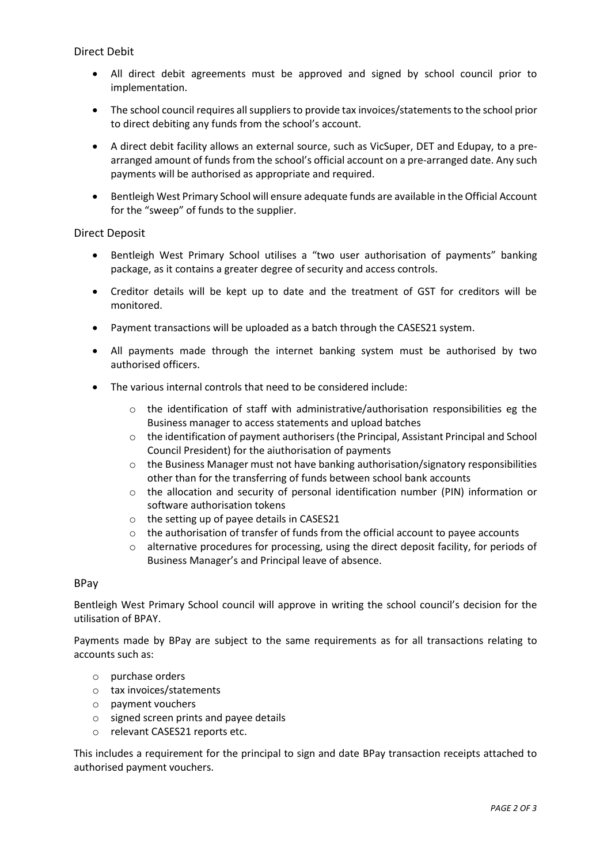Direct Debit

- All direct debit agreements must be approved and signed by school council prior to implementation.
- The school council requires all suppliers to provide tax invoices/statements to the school prior to direct debiting any funds from the school's account.
- A direct debit facility allows an external source, such as VicSuper, DET and Edupay, to a prearranged amount of funds from the school's official account on a pre-arranged date. Any such payments will be authorised as appropriate and required.
- Bentleigh West Primary School will ensure adequate funds are available in the Official Account for the "sweep" of funds to the supplier.

#### Direct Deposit

- Bentleigh West Primary School utilises a "two user authorisation of payments" banking package, as it contains a greater degree of security and access controls.
- Creditor details will be kept up to date and the treatment of GST for creditors will be monitored.
- Payment transactions will be uploaded as a batch through the CASES21 system.
- All payments made through the internet banking system must be authorised by two authorised officers.
- The various internal controls that need to be considered include:
	- $\circ$  the identification of staff with administrative/authorisation responsibilities eg the Business manager to access statements and upload batches
	- $\circ$  the identification of payment authorisers (the Principal, Assistant Principal and School Council President) for the aiuthorisation of payments
	- $\circ$  the Business Manager must not have banking authorisation/signatory responsibilities other than for the transferring of funds between school bank accounts
	- $\circ$  the allocation and security of personal identification number (PIN) information or software authorisation tokens
	- o the setting up of payee details in CASES21
	- o the authorisation of transfer of funds from the official account to payee accounts
	- o alternative procedures for processing, using the direct deposit facility, for periods of Business Manager's and Principal leave of absence.

## BPay

Bentleigh West Primary School council will approve in writing the school council's decision for the utilisation of BPAY.

Payments made by BPay are subject to the same requirements as for all transactions relating to accounts such as:

- o purchase orders
- o tax invoices/statements
- o payment vouchers
- o signed screen prints and payee details
- o relevant CASES21 reports etc.

This includes a requirement for the principal to sign and date BPay transaction receipts attached to authorised payment vouchers.